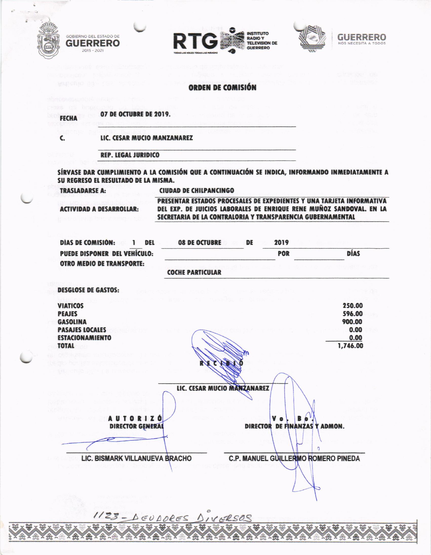







## **ORDEN DE COMISIÓN**

**FECHA** 

C.

GOBIERNO DEL ESTADO DE

**GUERRERO** 

2015 - 2021

07 DE OCTUBRE DE 2019.

LIC. CESAR MUCIO MANZANAREZ

**REP. LEGAL JURIDICO** 

SÍRVASE DAR CUMPLIMIENTO A LA COMISIÓN QUE A CONTINUACIÓN SE INDICA, INFORMANDO INMEDIATAMENTE A SU REGRESO EL RESULTADO DE LA MISMA.

**TRASLADARSE A:** 

**CIUDAD DE CHILPANCINGO** 

**ACTIVIDAD A DESARROLLAR:** 

PRESENTAR ESTADOS PROCESALES DE EXPEDIENTES Y UNA TARJETA INFORMATIVA DEL EXP. DE JUICIOS LABORALES DE ENRIQUE RENE MUÑOZ SANDOVAL. EN LA SECRETARIA DE LA CONTRALORIA Y TRANSPARENCIA GUBERNAMENTAL

| DIAS DE COMISIÓN:                |  | DEL | <b>08 DE OCTUBRE</b>     | DE | 2019       |             |
|----------------------------------|--|-----|--------------------------|----|------------|-------------|
| PUEDE DISPONER DEL VEHÍCULO:     |  |     |                          |    | <b>POR</b> | <b>DÍAS</b> |
| <b>OTRO MEDIO DE TRANSPORTE:</b> |  |     |                          |    |            |             |
|                                  |  |     | <b>COCHE PARTICIILAR</b> |    |            |             |

**DESGLOSE DE GASTOS:** 

| <b>VIATICOS</b>                | 250.00                              |
|--------------------------------|-------------------------------------|
| <b>PEAJES</b>                  | 596.00                              |
| <b>GASOLINA</b>                | 900.00                              |
| <b>PASAJES LOCALES</b>         | 0.00                                |
| <b>ESTACIONAMIENTO</b>         | 0.00                                |
| <b>TOTAL</b>                   | 1,746.00                            |
| Official power                 |                                     |
| <b>BADINA DOMENT</b>           |                                     |
| 142 ビバの ラット                    |                                     |
|                                | LIC. CESAR MUCIO MANZANAREZ         |
|                                |                                     |
|                                |                                     |
|                                |                                     |
| AUTORIZÓ                       | V o                                 |
| <b>DIRECTOR GENERAL</b>        | DIRECTOR DE FINANZAS Y ADMON.       |
|                                |                                     |
|                                | ŋ                                   |
| LIC. BISMARK VILLANUEVA BRACHO | C.P. MANUEL GUILLERMO ROMERO PINEDA |
|                                |                                     |
|                                |                                     |
|                                |                                     |
|                                |                                     |
|                                |                                     |

Wx Wx

XWX

龍

 $\frac{1}{2}$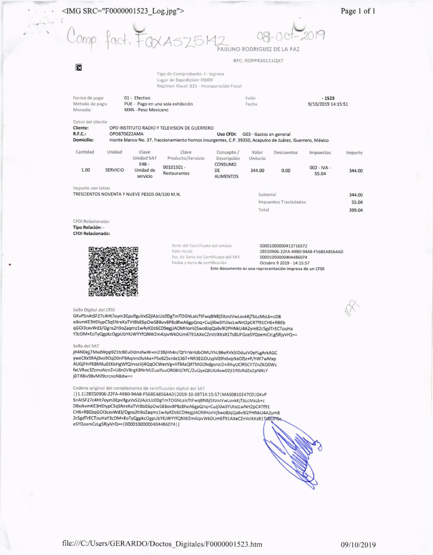## <IMG SRC="F0000001523\_Log.jpg">

Comp. fact. Fax ASZ512

# AULINO RODRIGUEZ DE LA PAZ

### RFC: ROPP430111OX7

Tipo de Comprobante: I - Ingreso Lugar de Expedición: 39000 Régimen Fiscal: 621 - Incorporación Fiscal

| Forma de pago<br>01 - Efectivo<br>Método de pago<br>PUE - Pago en una sola exhibición<br>Moneda:<br>MXN - Peso Mexicano |                 |                                  |                                                                                                                                                           | Folio<br>Fecha                    |                         |                       | $-1523$<br>9/10/2019 14:15:51 |         |
|-------------------------------------------------------------------------------------------------------------------------|-----------------|----------------------------------|-----------------------------------------------------------------------------------------------------------------------------------------------------------|-----------------------------------|-------------------------|-----------------------|-------------------------------|---------|
| Datos del cliente<br>Cliente:<br>R.F.C.:<br>Domicilio:                                                                  | OPD870622AMA    |                                  | OPD INSTITUTO RADIO Y TELEVISION DE GUERRERO<br>monte blanco No. 37, fraccionamiento hornos insurgentes, C.P. 39350, Acapulco de Juárez, Guerrero, México | Uso CFDI:                         | G03 - Gastos en general |                       |                               |         |
| Cantidad                                                                                                                | Unidad          | Clave<br>Unidad SAT              | Clave<br>Producto/Servicio                                                                                                                                | Concepto /<br>Descripción         | Valor<br>Unitario       | Descuentos            | <i>impuestos</i>              | Importe |
| 1.00                                                                                                                    | <b>SERVICIO</b> | $E48 -$<br>Unidad de<br>servicio | 90101501 -<br>Restaurantes                                                                                                                                | CONSUMO<br>DF<br><b>ALIMENTOS</b> | 344.00                  | 0.00                  | $002 - IVA -$<br>55.04        | 344.00  |
| Importe con letra:                                                                                                      |                 |                                  |                                                                                                                                                           |                                   |                         |                       |                               |         |
| TRESCIENTOS NOVENTA Y NUEVE PESOS 04/100 M.N.                                                                           |                 |                                  |                                                                                                                                                           |                                   | Subtotal                |                       |                               | 344.00  |
|                                                                                                                         |                 |                                  |                                                                                                                                                           |                                   |                         | Impuestos Trasladados |                               | 55.04   |
|                                                                                                                         |                 |                                  |                                                                                                                                                           |                                   | Total                   |                       |                               | 399.04  |
| CFDI Relacionado:                                                                                                       |                 |                                  |                                                                                                                                                           |                                   |                         |                       |                               |         |
| Ting Delación                                                                                                           |                 |                                  |                                                                                                                                                           |                                   |                         |                       |                               |         |

ipo Relación: **CFDI Relacionado:** 

Ι×



Serie del Certificado del emisor 00001000000413716572 Folio fiscal 2B550906-22FA-49B0-94A8-F56BEA8564AD No. de Serie del Certificado del SAT 00001000000404486074 Fecha y hora de certificación Octubre 9 2019 - 14:15:57 Este documento es una representación impresa de un CFDI

#### Sello Digital del CFDI

GKvP5nAtSF27c4Ht7oym3EpvlfguVxS2jlAJcUz0DgTmTOGNLaIsTtFwqBNBj5XznJVwLovkKjTbLcMsLb+cDB xJkvmKE3HDIypC5qSNreKaTVtBbE6pOwSBBov8P8z8heA6gpQnq+CuJjl0wSYUIscLwNrt2pC47f91CH6+RBEb qGOI3cxvWd3/Ogns2h9oZaqmz1w4yKDz6CD9egjJAOMHonVjSwo8JqQa6v9I2PHNkU4A2ym82cSgdTrECTouHa Y3cDM+EoTyQgpkcOgpUbYKJWYYfQNWZm4JpvWkDUm6T91AXeCZnVclKKsR1TsBUFGceSYQoemCzLg5RjyVrQ==

#### Sello del SAT

jH4N0ejjTMxdWpp9Z1tcBEuDdmsfwW+m23BjHh4n/QtYrWrldbOMUYhL9BeRVk5lDduzV0eFLgArkAGC yweCXx5RAj0vo9OqD0nP8Aqnns9utAa+PSeBZSvrde136T+NR3EGOUypV09hdvqrksOlSz+P/hW7wMxp AUGjFlnPE8M6uEtXIsHgWfQirvssVj4QqOCWezVg+HTMaQRTMGOhdgonzJ2+ihhyUClR5CY7ZnZKO0Ws felVRoc3ZzmoNcnZ+U8n0VBrgKBNrMJZualfouOR08i0/XfC/ZuQyxQ6UtJAsw02jl1R9zRdZa2pNNLY jDTXBiv98vM09crcnoN8dw==

### Cadena original del complemento de certificación digital del SAT

| | 1.1 | 2B550906-22FA-49B0-94A8-F56BEA8564AD | 2019-10-09T14:15:57 | MAS0810247C0 | GKvP 5nAtSF27c4Ht7oym3EpvlfguVxS2jlAJcUz0DgTmTOGNLaIsTtFwqBNBj5XznJVwLovkKjTbLcMsLb+c DBxJkvmKE3HDIypC5qSNreKaTVtBbE6pOwSBBov8P8z8heA6gpQnq+CuJjl0wSYUIscLwNrt2pC47f91 CH6+RBEbqGOI3cxvWd3/Ogns2h9oZaqmz1w4yKDz6CD9egjJAOMHonVjSwo8JqQa6v9l2PHNkU4A2ym8 2cSgdTrECTouHaY3cDM+EoTyQgpkcOgpUbYKJWYYfQNWZm4JpvWkDUm6T91AXeCZnVclKKsR1T6BUF66 eSYQoemCzLg5RjyVrQ==|00001000000404486074||